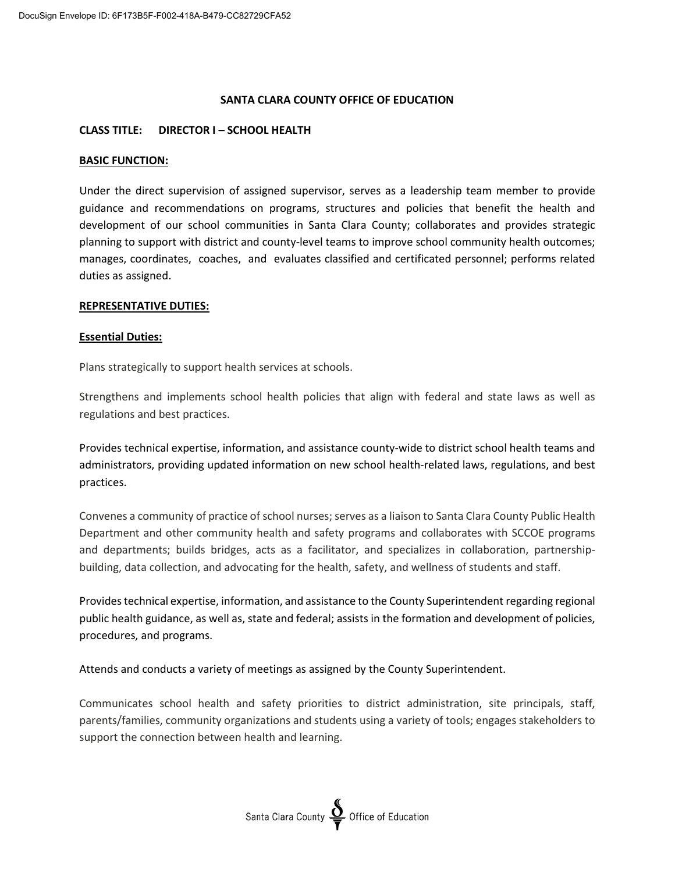### **SANTA CLARA COUNTY OFFICE OF EDUCATION**

### **CLASS TITLE: DIRECTOR I – SCHOOL HEALTH**

### **BASIC FUNCTION:**

Under the direct supervision of assigned supervisor, serves as a leadership team member to provide guidance and recommendations on programs, structures and policies that benefit the health and development of our school communities in Santa Clara County; collaborates and provides strategic planning to support with district and county-level teams to improve school community health outcomes; manages, coordinates, coaches, and evaluates classified and certificated personnel; performs related duties as assigned.

### **REPRESENTATIVE DUTIES:**

#### **Essential Duties:**

Plans strategically to support health services at schools.

Strengthens and implements school health policies that align with federal and state laws as well as regulations and best practices.

Provides technical expertise, information, and assistance county-wide to district school health teams and administrators, providing updated information on new school health-related laws, regulations, and best practices.

Convenes a community of practice of school nurses; serves as a liaison to Santa Clara County Public Health Department and other community health and safety programs and collaborates with SCCOE programs and departments; builds bridges, acts as a facilitator, and specializes in collaboration, partnershipbuilding, data collection, and advocating for the health, safety, and wellness of students and staff.

Provides technical expertise, information, and assistance to the County Superintendent regarding regional public health guidance, as well as, state and federal; assists in the formation and development of policies, procedures, and programs.

Attends and conducts a variety of meetings as assigned by the County Superintendent.

Communicates school health and safety priorities to district administration, site principals, staff, parents/families, community organizations and students using a variety of tools; engages stakeholders to support the connection between health and learning.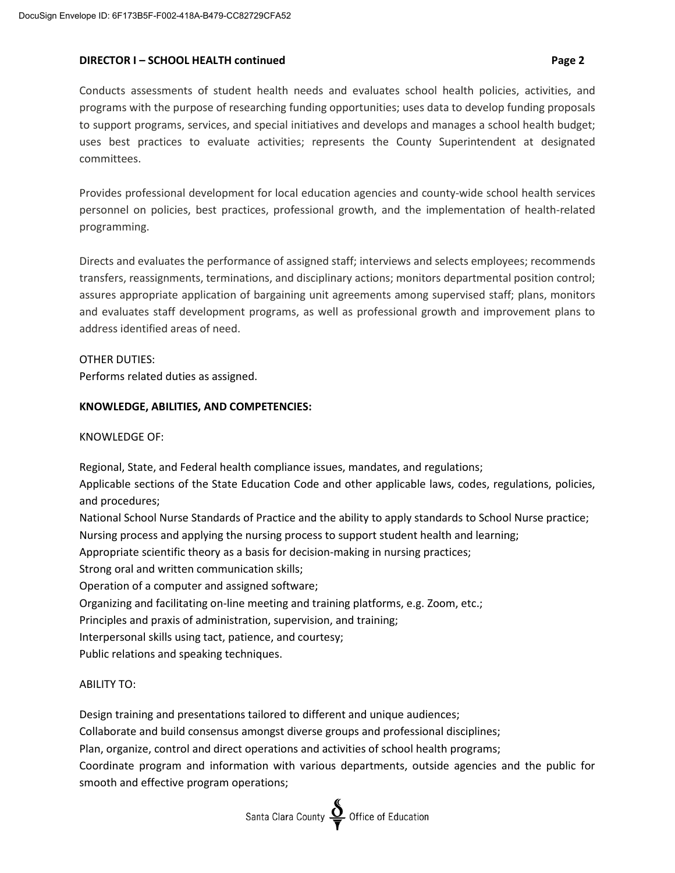## **DIRECTOR I – SCHOOL HEALTH continued Page 2**

Conducts assessments of student health needs and evaluates school health policies, activities, and programs with the purpose of researching funding opportunities; uses data to develop funding proposals to support programs, services, and special initiatives and develops and manages a school health budget; uses best practices to evaluate activities; represents the County Superintendent at designated committees.

Provides professional development for local education agencies and county-wide school health services personnel on policies, best practices, professional growth, and the implementation of health-related programming.

Directs and evaluates the performance of assigned staff; interviews and selects employees; recommends transfers, reassignments, terminations, and disciplinary actions; monitors departmental position control; assures appropriate application of bargaining unit agreements among supervised staff; plans, monitors and evaluates staff development programs, as well as professional growth and improvement plans to address identified areas of need.

# OTHER DUTIES:

Performs related duties as assigned.

# **KNOWLEDGE, ABILITIES, AND COMPETENCIES:**

# KNOWLEDGE OF:

Regional, State, and Federal health compliance issues, mandates, and regulations; Applicable sections of the State Education Code and other applicable laws, codes, regulations, policies, and procedures;

National School Nurse Standards of Practice and the ability to apply standards to School Nurse practice; Nursing process and applying the nursing process to support student health and learning; Appropriate scientific theory as a basis for decision-making in nursing practices; Strong oral and written communication skills; Operation of a computer and assigned software; Organizing and facilitating on-line meeting and training platforms, e.g. Zoom, etc.; Principles and praxis of administration, supervision, and training; Interpersonal skills using tact, patience, and courtesy; Public relations and speaking techniques.

# ABILITY TO:

Design training and presentations tailored to different and unique audiences;

Collaborate and build consensus amongst diverse groups and professional disciplines;

Plan, organize, control and direct operations and activities of school health programs;

Coordinate program and information with various departments, outside agencies and the public for smooth and effective program operations;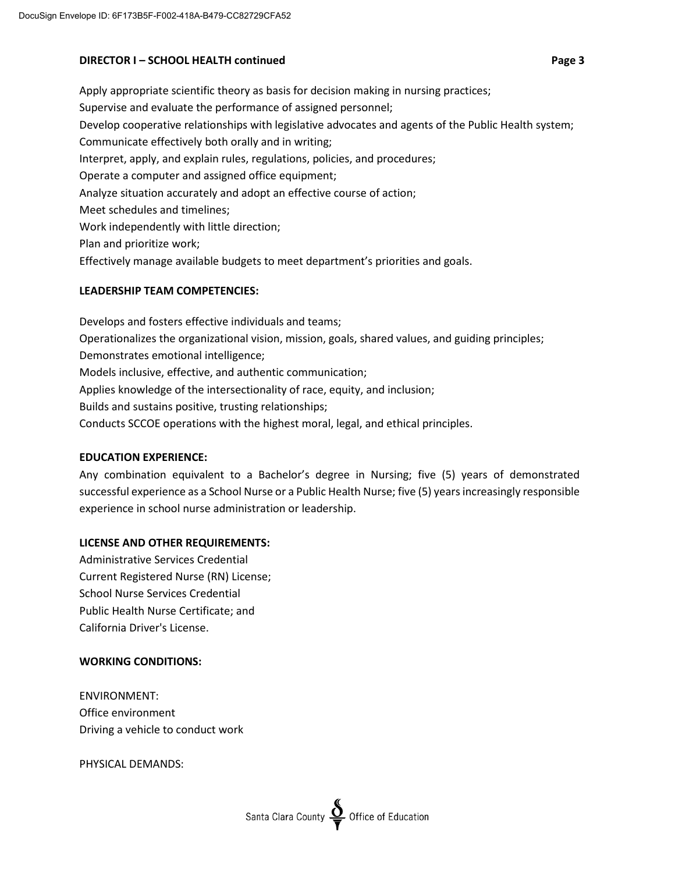## **DIRECTOR I – SCHOOL HEALTH continued Page 3**

Apply appropriate scientific theory as basis for decision making in nursing practices; Supervise and evaluate the performance of assigned personnel; Develop cooperative relationships with legislative advocates and agents of the Public Health system; Communicate effectively both orally and in writing; Interpret, apply, and explain rules, regulations, policies, and procedures; Operate a computer and assigned office equipment; Analyze situation accurately and adopt an effective course of action; Meet schedules and timelines; Work independently with little direction; Plan and prioritize work; Effectively manage available budgets to meet department's priorities and goals.

# **LEADERSHIP TEAM COMPETENCIES:**

Develops and fosters effective individuals and teams; Operationalizes the organizational vision, mission, goals, shared values, and guiding principles; Demonstrates emotional intelligence; Models inclusive, effective, and authentic communication; Applies knowledge of the intersectionality of race, equity, and inclusion; Builds and sustains positive, trusting relationships; Conducts SCCOE operations with the highest moral, legal, and ethical principles.

# **EDUCATION EXPERIENCE:**

Any combination equivalent to a Bachelor's degree in Nursing; five (5) years of demonstrated successful experience as a School Nurse or a Public Health Nurse; five (5) years increasingly responsible experience in school nurse administration or leadership.

# **LICENSE AND OTHER REQUIREMENTS:**

Administrative Services Credential Current Registered Nurse (RN) License; School Nurse Services Credential Public Health Nurse Certificate; and California Driver's License.

# **WORKING CONDITIONS:**

ENVIRONMENT: Office environment Driving a vehicle to conduct work

PHYSICAL DEMANDS: